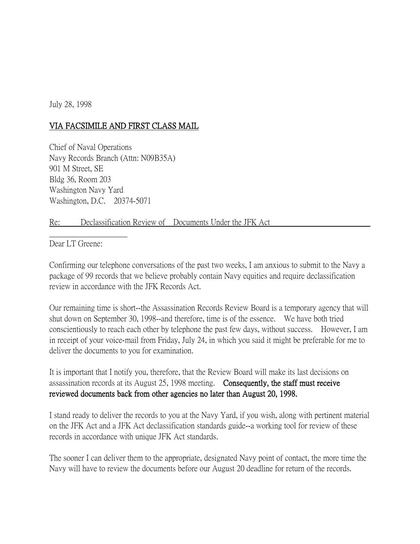July 28, 1998

## VIA FACSIMILE AND FIRST CLASS MAIL

Chief of Naval Operations Navy Records Branch (Attn: N09B35A) 901 M Street, SE Bldg 36, Room 203 Washington Navy Yard Washington, D.C. 20374-5071

## Re: Declassification Review of Documents Under the JFK Act

Dear LT Greene:

Confirming our telephone conversations of the past two weeks, I am anxious to submit to the Navy a package of 99 records that we believe probably contain Navy equities and require declassification review in accordance with the JFK Records Act.

Our remaining time is short--the Assassination Records Review Board is a temporary agency that will shut down on September 30, 1998--and therefore, time is of the essence. We have both tried conscientiously to reach each other by telephone the past few days, without success. However, I am in receipt of your voice-mail from Friday, July 24, in which you said it might be preferable for me to deliver the documents to you for examination.

It is important that I notify you, therefore, that the Review Board will make its last decisions on assassination records at its August 25, 1998 meeting. Consequently, the staff must receive reviewed documents back from other agencies no later than August 20, 1998.

I stand ready to deliver the records to you at the Navy Yard, if you wish, along with pertinent material on the JFK Act and a JFK Act declassification standards guide--a working tool for review of these records in accordance with unique JFK Act standards.

The sooner I can deliver them to the appropriate, designated Navy point of contact, the more time the Navy will have to review the documents before our August 20 deadline for return of the records.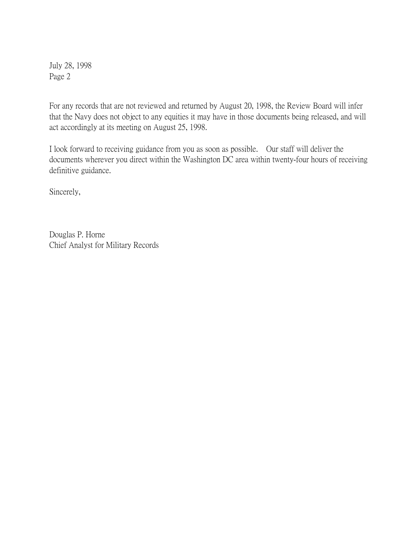July 28, 1998 Page 2

For any records that are not reviewed and returned by August 20, 1998, the Review Board will infer that the Navy does not object to any equities it may have in those documents being released, and will act accordingly at its meeting on August 25, 1998.

I look forward to receiving guidance from you as soon as possible. Our staff will deliver the documents wherever you direct within the Washington DC area within twenty-four hours of receiving definitive guidance.

Sincerely,

Douglas P. Horne Chief Analyst for Military Records